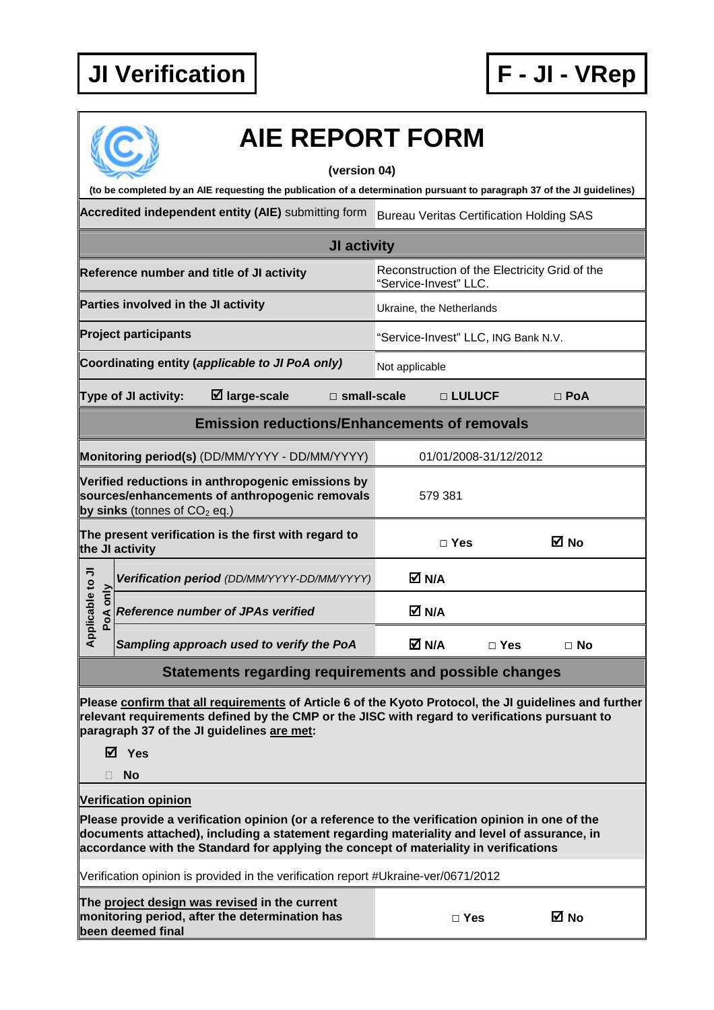

|                                                     | <b>AIE REPORT FORM</b>                                                                                                                                                                                                                                                                  |                                     |                          |            |  |  |  |  |  |
|-----------------------------------------------------|-----------------------------------------------------------------------------------------------------------------------------------------------------------------------------------------------------------------------------------------------------------------------------------------|-------------------------------------|--------------------------|------------|--|--|--|--|--|
|                                                     | (version 04)                                                                                                                                                                                                                                                                            |                                     |                          |            |  |  |  |  |  |
|                                                     | (to be completed by an AIE requesting the publication of a determination pursuant to paragraph 37 of the JI guidelines)<br>Accredited independent entity (AIE) submitting form<br><b>Bureau Veritas Certification Holding SAS</b>                                                       |                                     |                          |            |  |  |  |  |  |
|                                                     | JI activity                                                                                                                                                                                                                                                                             |                                     |                          |            |  |  |  |  |  |
|                                                     | Reconstruction of the Electricity Grid of the<br>Reference number and title of JI activity<br>"Service-Invest" LLC.                                                                                                                                                                     |                                     |                          |            |  |  |  |  |  |
|                                                     | Parties involved in the JI activity                                                                                                                                                                                                                                                     |                                     | Ukraine, the Netherlands |            |  |  |  |  |  |
|                                                     | <b>Project participants</b>                                                                                                                                                                                                                                                             | "Service-Invest" LLC, ING Bank N.V. |                          |            |  |  |  |  |  |
|                                                     | Coordinating entity (applicable to JI PoA only)                                                                                                                                                                                                                                         | Not applicable                      |                          |            |  |  |  |  |  |
|                                                     | $\boxtimes$ large-scale<br>$\square$ small-scale<br><b>Type of JI activity:</b>                                                                                                                                                                                                         |                                     | □ LULUCF                 | $\Box$ PoA |  |  |  |  |  |
| <b>Emission reductions/Enhancements of removals</b> |                                                                                                                                                                                                                                                                                         |                                     |                          |            |  |  |  |  |  |
|                                                     | Monitoring period(s) (DD/MM/YYYY - DD/MM/YYYY)                                                                                                                                                                                                                                          | 01/01/2008-31/12/2012               |                          |            |  |  |  |  |  |
|                                                     | Verified reductions in anthropogenic emissions by<br>sources/enhancements of anthropogenic removals<br>by sinks (tonnes of $CO2$ eq.)                                                                                                                                                   | 579 381                             |                          |            |  |  |  |  |  |
|                                                     | The present verification is the first with regard to<br>the JI activity                                                                                                                                                                                                                 | $\square$ Yes                       |                          | M No       |  |  |  |  |  |
|                                                     | Verification period (DD/MM/YYYY-DD/MM/YYYY)                                                                                                                                                                                                                                             | M N/A                               |                          |            |  |  |  |  |  |
| pplicable to JI<br>PoA only                         | <b>Reference number of JPAs verified</b>                                                                                                                                                                                                                                                | M N/A                               |                          |            |  |  |  |  |  |
| ⋖                                                   | Sampling approach used to verify the PoA                                                                                                                                                                                                                                                | M N/A                               | $\Box$ Yes               | $\Box$ No  |  |  |  |  |  |
|                                                     | Statements regarding requirements and possible changes                                                                                                                                                                                                                                  |                                     |                          |            |  |  |  |  |  |
|                                                     | Please confirm that all requirements of Article 6 of the Kyoto Protocol, the JI guidelines and further<br>relevant requirements defined by the CMP or the JISC with regard to verifications pursuant to<br>paragraph 37 of the JI guidelines are met:<br>⊠ Yes<br>No                    |                                     |                          |            |  |  |  |  |  |
|                                                     | <b>Verification opinion</b>                                                                                                                                                                                                                                                             |                                     |                          |            |  |  |  |  |  |
|                                                     | Please provide a verification opinion (or a reference to the verification opinion in one of the<br>documents attached), including a statement regarding materiality and level of assurance, in<br>accordance with the Standard for applying the concept of materiality in verifications |                                     |                          |            |  |  |  |  |  |
|                                                     | Verification opinion is provided in the verification report #Ukraine-ver/0671/2012                                                                                                                                                                                                      |                                     |                          |            |  |  |  |  |  |
|                                                     | The project design was revised in the current<br>monitoring period, after the determination has<br>been deemed final                                                                                                                                                                    |                                     | $\Box$ Yes               | M No       |  |  |  |  |  |